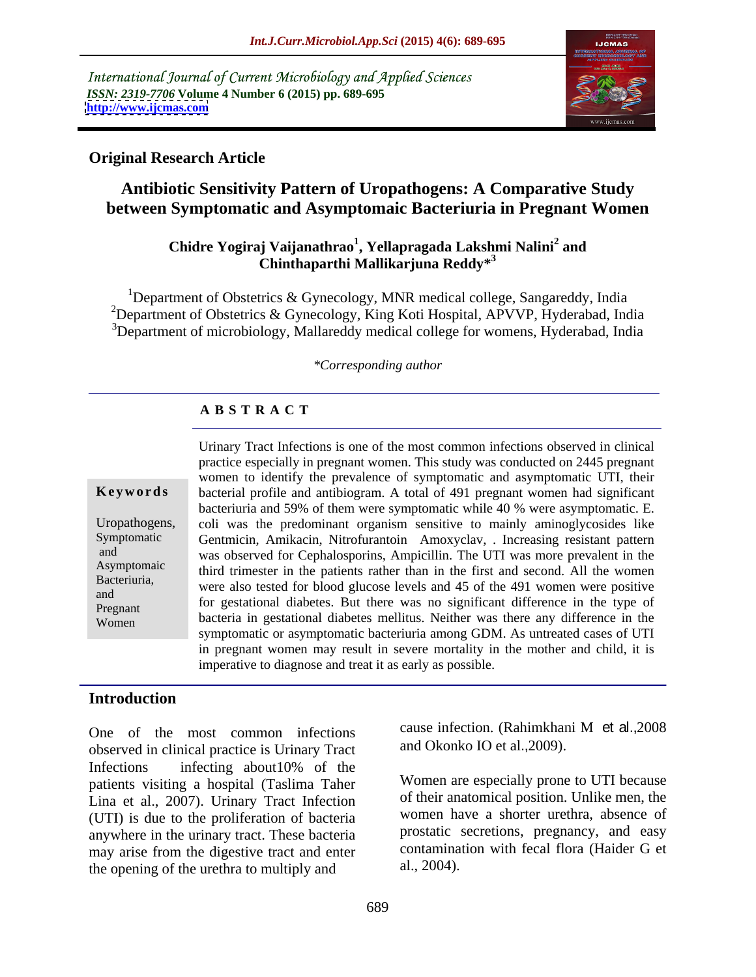International Journal of Current Microbiology and Applied Sciences *ISSN: 2319-7706* **Volume 4 Number 6 (2015) pp. 689-695 <http://www.ijcmas.com>**



#### **Original Research Article**

# **Antibiotic Sensitivity Pattern of Uropathogens: A Comparative Study between Symptomatic and Asymptomaic Bacteriuria in Pregnant Women**

#### **Chidre Yogiraj Vaijanathrao<sup>1</sup> , Yellapragada Lakshmi Nalini<sup>2</sup> and Chinthaparthi Mallikarjuna Reddy\*<sup>3</sup>**

<sup>1</sup>Department of Obstetrics & Gynecology, MNR medical college, Sangareddy, India <sup>2</sup>Department of Obstetrics & Gynecology, King Koti Hospital, APVVP, Hyderabad, India <sup>3</sup>Department of microbiology, Mallareddy medical college for womens, Hyderabad, India

#### *\*Corresponding author*

#### **A B S T R A C T**

Women

Urinary Tract Infections is one of the most common infections observed in clinical practice especially in pregnant women. This study was conducted on 2445 pregnant women to identify the prevalence of symptomatic and asymptomatic UTI, their bacterial profile and antibiogram. A total of 491 pregnant women had significant **Ke ywo rds** bacteriuria and 59% of them were symptomatic while 40 % were asymptomatic. E. Uropathogens, coli was the predominant organism sensitive to mainly aminoglycosides like Gentmicin, Amikacin, Nitrofurantoin Amoxyclav, . Increasing resistant pattern Symptomatic and was observed for Cephalosporins, Ampicillin. The UTI was more prevalent in the Asymptomaic third trimester in the patients rather than in the first and second. All the women Bacteriuria,<br>
were also tested for blood glucose levels and 45 of the 491 women were positive For gestational diabetes. But there was no significant difference in the type of bacteria in gestational diabetes mellitus. Neither was there any difference in the symptomatic or asymptomatic bacteriuria among GDM. As untreated cases of UTI in pregnant women may result in severe mortality in the mother and child, it is imperative to diagnose and treat it as early as possible. Pregnant 10 gestational diabetes. But there was no significant difference in the type of

#### **Introduction**

observed in clinical practice is Urinary Tract Infections infecting about10% of the patients visiting a hospital (Taslima Taher Lina et al., 2007). Urinary Tract Infection (UTI) is due to the proliferation of bacteria anywhere in the urinary tract. These bacteria may arise from the digestive tract and enter contamina<br>the opening of the urethra to multiply and al., 2004). the opening of the urethra to multiply and

One of the most common infections cause infection. (Rahimkhani M et al., 2008) cause infection. (Rahimkhani M et al.,2008 and Okonko IO et al.,2009).

> Women are especially prone to UTI because of their anatomical position. Unlike men, the women have a shorter urethra, absence of prostatic secretions, pregnancy, and easy contamination with fecal flora (Haider G et al., 2004).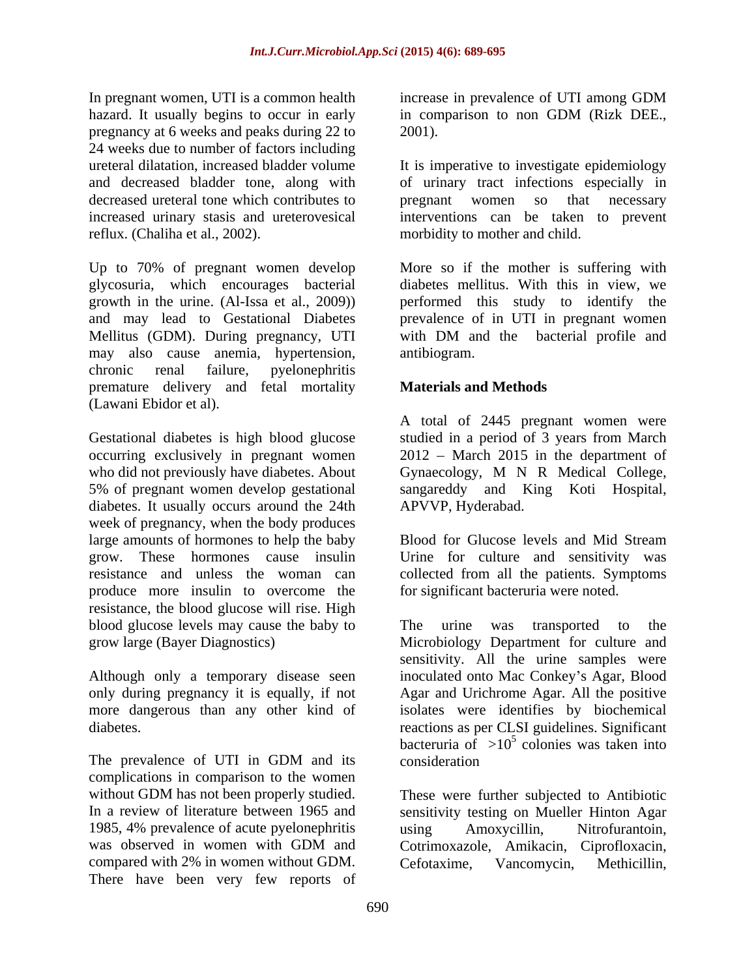In pregnant women, UTI is a common health increase in prevalence of UTI among GDM hazard. It usually begins to occur in early in comparison to non GDM (Rizk DEE., pregnancy at 6 weeks and peaks during 22 to 24 weeks due to number of factors including ureteral dilatation, increased bladder volume It is imperative to investigate epidemiology and decreased bladder tone, along with of urinary tract infections especially in decreased ureteral tone which contributes to express pregnant women so that necessary increased urinary stasis and ureterovesical interventions can be taken to prevent reflux. (Chaliha et al., 2002). morbidity to mother and child.

Up to 70% of pregnant women develop glycosuria, which encourages bacterial diabetes mellitus. With this in view, we growth in the urine. (Al-Issa et al., 2009)) performed this study to identify the and may lead to Gestational Diabetes prevalence of in UTI in pregnant women Mellitus (GDM). During pregnancy, UTI with DM and the bacterial profile and may also cause anemia, hypertension, chronic renal failure, pyelonephritis premature delivery and fetal mortality (Lawani Ebidor et al).

Gestational diabetes is high blood glucose studied in a period of 3 years from March occurring exclusively in pregnant women who did not previously have diabetes. About Gynaecology, M N R Medical College, 5% of pregnant women develop gestational diabetes. It usually occurs around the 24th APVVP, Hyderabad. week of pregnancy, when the body produces large amounts of hormones to help the baby Blood for Glucose levels and Mid Stream grow. These hormones cause insulin Urine for culture and sensitivity was resistance and unless the woman can collected from all the patients. Symptoms produce more insulin to overcome the resistance, the blood glucose will rise. High blood glucose levels may cause the baby to The urine was transported to the

Although only a temporary disease seen more dangerous than any other kind of

complications in comparison to the women without GDM has not been properly studied. These were further subjected to Antibiotic 1985, 4% prevalence of acute pyelonephritis using Amoxycillin, Nitrofurantoin, compared with 2% in women without GDM. Cefotaxime, Vancomycin, Methicillin, There have been very few reports of

increase in prevalence of UTI among GDM 2001).

pregnant women so that necessary

More so if the mother is suffering with with DM and the bacterial profile and antibiogram.

## **Materials and Methods**

A total of 2445 pregnant women were  $2012$  – March 2015 in the department of sangareddy and King Koti Hospital,<br>APVVP, Hyderabad.

Blood for Glucose levels and Mid Stream for significant bacteruria were noted.

grow large (Bayer Diagnostics) Microbiology Department for culture and only during pregnancy it is equally, if not Agar and Urichrome Agar. All the positive diabetes. reactions as per CLSI guidelines. Significant The prevalence of UTI in GDM and its consideration The urine was transported to the sensitivity. All the urine samples were inoculated onto Mac Conkey's Agar, Blood isolates were identifies by biochemical bacteruria of  $>10^5$  colonies was taken into colonies was taken into consideration constants and the set of the set of the set of the set of the set of the set of the set of the set of the set of the set of the set of the set of the set of the set of the set of the set of the set of the set

In a review of literature between 1965 and sensitivity testing on Mueller Hinton Agar was observed in women with GDM and Cotrimoxazole, Amikacin, Ciprofloxacin, using Amoxycillin, Nitrofurantoin, Cefotaxime, Vancomycin, Methicillin,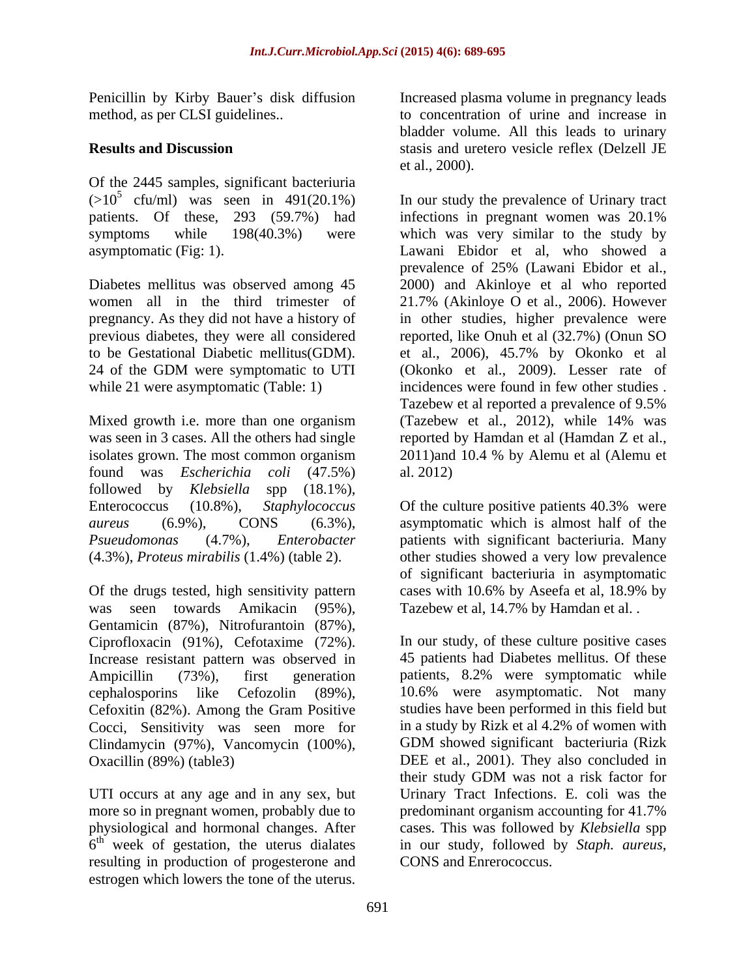Of the 2445 samples, significant bacteriuria  $(>10^5 \text{ cfu/ml})$  was seen in 491(20.1%) patients. Of these, 293 (59.7%) had infections in pregnant women was 20.1%

found was *Escherichia coli* (47.5%) followed by *Klebsiella* spp (18.1%),

Of the drugs tested, high sensitivity pattern cases with 10.6% by Aseefa et al, 18.9% by was seen towards Amikacin (95%), Gentamicin (87%), Nitrofurantoin (87%), Ciprofloxacin (91%), Cefotaxime (72%). Increase resistant pattern was observed in Cocci, Sensitivity was seen more for Clindamycin (97%), Vancomycin (100%),

more so in pregnant women, probably due to predominant organism accounting for 41.7%  $6<sup>th</sup>$  week of gestation, the uterus dialates resulting in production of progesterone and CONS and Enrerococcus. estrogen which lowers the tone of the uterus.

Penicillin by Kirby Bauer's disk diffusion Increased plasma volume in pregnancy leads method, as per CLSI guidelines.. to concentration of urine and increase in **Results and Discussion**  stasis and uretero vesicle reflex (Delzell JE bladder volume. All this leads to urinary et al., 2000).

cfu/ml) was seen in 491(20.1%) In our study the prevalence of Urinary tract symptoms while 198(40.3%) were which was very similar to the study by asymptomatic (Fig: 1). Lawani Ebidor et al, who showed a Diabetes mellitus was observed among 45 2000) and Akinloye et al who reported women all in the third trimester of 21.7% (Akinloye O et al., 2006). However pregnancy. As they did not have a history of in other studies, higher prevalence were previous diabetes, they were all considered reported, like Onuh et al (32.7%) (Onun SO to be Gestational Diabetic mellitus(GDM). et al., 2006), 45.7% by Okonko et al 24 of the GDM were symptomatic to UTI (Okonko et al., 2009). Lesser rate of while 21 were asymptomatic (Table: 1) incidences were found in few other studies. Mixed growth i.e. more than one organism (Tazebew et al., 2012), while 14% was was seen in 3 cases. All the others had single reported by Hamdan et al (Hamdan Z et al., isolates grown. The most common organism 2011)and 10.4 % by Alemu et al (Alemu et infections in pregnant women was 20.1% prevalence of 25% (Lawani Ebidor et al., (Okonko et al., 2009). Lesser rate of Tazebew et al reported a prevalence of 9.5% al. 2012)

Enterococcus (10.8%), *Staphylococcus*  Of the culture positive patients 40.3% were *aureus* (6.9%), CONS (6.3%), asymptomatic which is almost half of the *Psueudomonas* (4.7%), *Enterobacter* patients with significant bacteriuria. Many (4.3%), *Proteus mirabilis* (1.4%) (table 2). other studies showed a very low prevalence of significant bacteriuria in asymptomatic cases with 10.6% by Aseefa et al, 18.9% by Tazebew et al, 14.7% by Hamdan et al. .

Ampicillin (73%), first generation patients, 8.2% were symptomatic while cephalosporins like Cefozolin (89%), 10.6% were asymptomatic. Not many Cefoxitin (82%). Among the Gram Positive studies have been performed in this field but Oxacillin (89%) (table3) DEE et al., 2001). They also concluded in UTI occurs at any age and in any sex, but Urinary Tract Infections. E. coli was the physiological and hormonal changes. After cases. This was followed by *Klebsiella* spp 6<sup>th</sup> week of gestation, the uterus dialates in our study, followed by Staph. aureus, In our study, of these culture positive cases 45 patients had Diabetes mellitus. Of these in a study by Rizk et al 4.2% of women with GDM showed significant bacteriuria (Rizk their study GDM was not a risk factor for predominant organism accounting for 41.7% in our study, followed by *Staph. aureus*, CONS and Enrerococcus.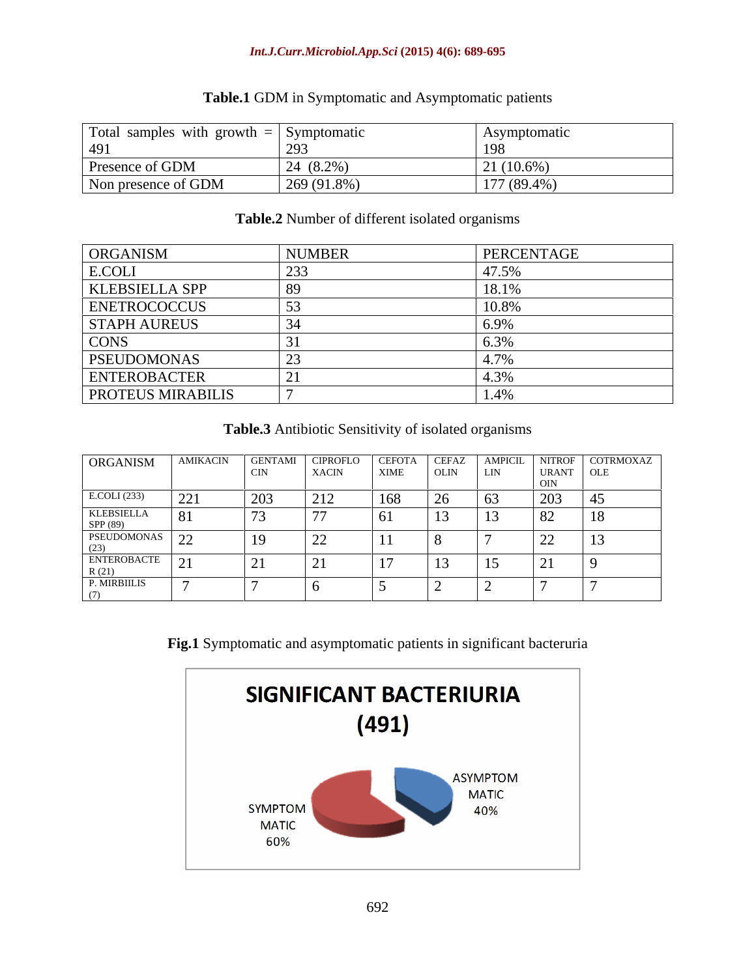#### *Int.J.Curr.Microbiol.App.Sci* **(2015) 4(6): 689-695**

| Total samples with growth $=$ Symptomatic |               | <i><b>Symptomative</b></i>         |
|-------------------------------------------|---------------|------------------------------------|
| + フ I                                     | 203           |                                    |
| Presence of GDM                           | $24(8.2\%)$   | $21(10.6\%)$                       |
| Non presence of GDM                       | $269(91.8\%)$ | $1.77 \times 0.0$<br>$111(89.4\%)$ |

# **Table.1** GDM in Symptomatic and Asymptomatic patients

### **Table.2** Number of different isolated organisms

| ORGANISM                                       | <b>NUMBER</b> | PERCENTAGE       |
|------------------------------------------------|---------------|------------------|
| E.COLI                                         | $\cap$        | 17.50<br>$1.3\%$ |
|                                                |               | 18.1%            |
| KLEBSIELLA SPP<br>ENETROCOCCUS<br>STAPH AUREUS |               |                  |
|                                                |               |                  |
| <b>CONS</b>                                    |               |                  |
| PSEUDOMONAS                                    |               |                  |
| ENTEROBACTER<br>PROTEUS MIRABILIS              |               |                  |
|                                                |               | 1.470            |

**Table.3** Antibiotic Sensitivity of isolated organisms

| ORGANISM AMIKACIN                                                                                             |                |                         | GENTAMI CIPROFLO               | - CEFOTA | I CEFAZ |                |                          | NITROF COTRMOXAZ |
|---------------------------------------------------------------------------------------------------------------|----------------|-------------------------|--------------------------------|----------|---------|----------------|--------------------------|------------------|
|                                                                                                               |                | - CIN                   | XACIN                          | XIME     | OLIN    | LIN            | URANT OLE                |                  |
|                                                                                                               |                |                         |                                |          |         |                |                          |                  |
| E.COLI (233)                                                                                                  | 221            | 203                     | $\bigcap$ 1<br>$\sim$ 1 $\sim$ | 168      |         | $\overline{O}$ | 202<br>203               |                  |
| KLEBSIELLA 81<br>SPP (89)<br>PSEUDOMONAS 22                                                                   |                | 72                      |                                |          |         |                | $\delta Z$               | 18               |
| (23)                                                                                                          | $\overline{a}$ | 19                      | $\overline{\phantom{a}}$       | - 11     |         |                | $\overline{\phantom{a}}$ | <b>L</b>         |
| $\begin{array}{ l c c }\n\hline\n\text{ENTEROBACTER} & 21 \\ \hline\n\text{R (21)} & & \\\hline\n\end{array}$ |                | $\bigcap$ 1<br>$\sim$ 1 |                                |          |         |                |                          |                  |
| P. MIRBIILIS                                                                                                  |                |                         |                                |          |         |                |                          |                  |

**Fig.1** Symptomatic and asymptomatic patients in significant bacteruria

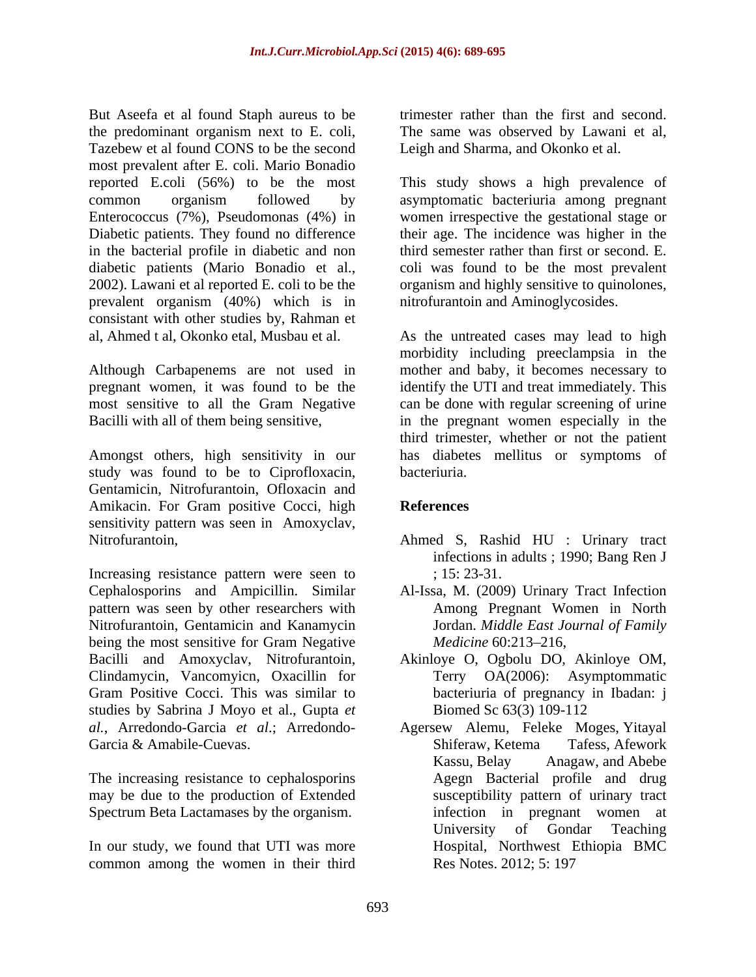But Aseefa et al found Staph aureus to be trimester rather than the first and second. the predominant organism next to E. coli, Tazebew et al found CONS to be the second most prevalent after E. coli. Mario Bonadio reported E.coli (56%) to be the most This study shows a high prevalence of common organism followed by asymptomatic bacteriuria among pregnant Enterococcus (7%), Pseudomonas (4%) in women irrespective the gestational stage or Diabetic patients. They found no difference their age. The incidence was higher in the in the bacterial profile in diabetic and non diabetic patients (Mario Bonadio et al., 2002). Lawani et al reported E. coli to be the organism and highly sensitive to quinolones, prevalent organism (40%) which is in consistant with other studies by, Rahman et al, Ahmed t al, Okonko etal, Musbau et al. As the untreated cases may lead to high

most sensitive to all the Gram Negative

study was found to be to Ciprofloxacin, Gentamicin, Nitrofurantoin, Ofloxacin and Amikacin. For Gram positive Cocci, high References sensitivity pattern was seen in Amoxyclav, Nitrofurantoin, Ahmed S, Rashid HU : Urinary tract

Increasing resistance pattern were seen to ; 15:23-31. Cephalosporins and Ampicillin. Similar Al-Issa, M. (2009) Urinary Tract Infection pattern was seen by other researchers with Nitrofurantoin, Gentamicin and Kanamycin being the most sensitive for Gram Negative *Medicine* 60:213–216, Bacilli and Amoxyclav, Nitrofurantoin, Akinloye O, Ogbolu DO, Akinloye OM, Clindamycin, Vancomyicn, Oxacillin for Gram Positive Cocci. This was similar to studies by Sabrina J Moyo et al., Gupta *et* Biomed Sc 63(3) 109-112 Garcia & Amabile-Cuevas. Shiferaw, Ketema Tafess, Afework

The increasing resistance to cephalosporins may be due to the production of Extended Spectrum Beta Lactamases by the organism.

In our study, we found that UTI was more common among the women in their third

trimester rather than the first and second.<br>The same was observed by Lawani et al, Leigh and Sharma, and Okonko et al.

third semester rather than first or second. E. coli was found to be the most prevalent nitrofurantoin and Aminoglycosides.

Although Carbapenems are not used in mother and baby, it becomes necessary to pregnant women, it was found to be the identify the UTI and treat immediately. This Bacilli with all of them being sensitive, in the pregnant women especially in the Amongst others, high sensitivity in our has diabetes mellitus or symptoms of morbidity including preeclampsia in the can be done with regular screening of urine third trimester, whether or not the patient bacteriuria.

## **References**

- infections in adults ; 1990; Bang Ren J ; 15: 23-31.
- Among Pregnant Women in North Jordan. *Middle East Journal of Family Medicine* 60:213–216,
- Terry OA(2006): Asymptommatic bacteriuria of pregnancy in Ibadan: j Biomed Sc 63(3) 109-112
- *al.*, Arredondo-Garcia *et al*.; Arredondo- Agersew Alemu, Feleke Moges, Yitayal Shiferaw, Ketema Tafess, Afework Kassu, Belay Anagaw, and Abebe Agegn Bacterial profile and drug susceptibility pattern of urinary tract infection in pregnant women at University of Gondar Teaching Hospital, Northwest Ethiopia BMC Res Notes. 2012; 5: 197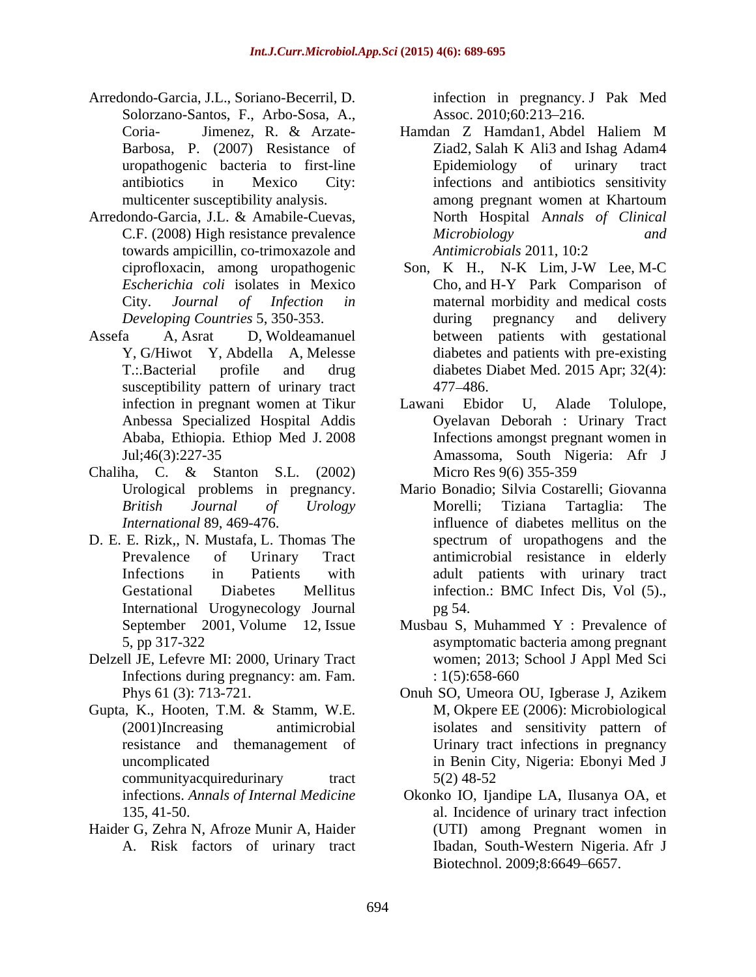- Arredondo-Garcia, J.L., Soriano-Becerril, D. Solorzano-Santos, F., Arbo-Sosa, A.,
- Arredondo-Garcia, J.L. & Amabile-Cuevas, towards ampicillin, co-trimoxazole and Antimicrobials 2011, 10:2
- Assefa A, Asrat D, Woldeamanuel between patients with gestational susceptibility pattern of urinary tract 477–486.
- Chaliha, C. & Stanton S.L. (2002)
- D. E. E. Rizk,, N. Mustafa, L. Thomas The spectrum of uropathogens and the International Urogynecology Journal
- Delzell JE, Lefevre MI: 2000, Urinary Tract Infections during pregnancy: am. Fam.  $: 1(5): 658-660$
- Gupta, K., Hooten, T.M. & Stamm, W.E. communityacquiredurinary tract  $5(2)$  48-52
- Haider G, Zehra N, Afroze Munir A, Haider A. Risk factors of urinary tract

infection in pregnancy. J Pak Med Assoc. 2010;60:213–216.

- Coria- Jimenez, R. & Arzate- Barbosa, P. (2007) Resistance of Ziad2, Salah K Ali3 and Ishag Adam4 uropathogenic bacteria to first-line Epidemiology of urinary tract antibiotics in Mexico City: infections and antibiotics sensitivity multicenter susceptibility analysis. The among pregnant women at Khartoum C.F. (2008) High resistance prevalence *Microbiology and* Hamdan Z Hamdan1, Abdel Haliem M Epidemiology of urinary tract among pregnant women at Khartoum North Hospital A*nnals of Clinical Microbiology and Antimicrobials* 2011, 10:2
- ciprofloxacin, among uropathogenic *Escherichia coli* isolates in Mexico Cho, and H-Y Park Comparison of City. *Journal of Infection in* maternal morbidity and medical costs *Developing Countries* 5, 350-353. during pregnancy and delivery Y, G/Hiwot Y, Abdella A, Melesse diabetes and patients with pre-existing T.:.Bacterial profile and drug diabetes Diabet Med. 2015 Apr; 32(4): Son, K H., N-K Lim, J-W Lee, M-C during pregnancy and delivery 477 486.
- infection in pregnant women at Tikur Lawani Ebidor U, Alade Tolulope, Anbessa Specialized Hospital Addis Oyelavan Deborah : Urinary Tract Ababa, Ethiopia. Ethiop Med J. 2008 Infections amongst pregnant women in Jul;46(3):227-35 Amassoma, South Nigeria: Afr J Lawani Ebidor U, Alade Micro Res 9(6) 355-359
- Urological problems in pregnancy. Mario Bonadio; Silvia Costarelli; Giovanna *British Journal of Urology*  Morelli; Tiziana Tartaglia: The *International* 89, 469-476. influence of diabetes mellitus on the Prevalence of Urinary Tract antimicrobial resistance in elderly Infections in Patients with adult patients with urinary tract Gestational Diabetes Mellitus infection.: BMC Infect Dis, Vol (5)., spectrum of uropathogens and the pg 54.
- September 2001, Volume 12, Issue Musbau S, Muhammed Y : Prevalence of 5, pp 317-322 asymptomatic bacteria among pregnant women; 2013; School J Appl Med Sci : 1(5):658-660
- Phys 61 (3): 713-721. Onuh SO, Umeora OU, Igberase J, Azikem (2001)Increasing antimicrobial isolates and sensitivity pattern of resistance and themanagement of Urinary tract infections in pregnancy uncomplicated in Benin City, Nigeria: Ebonyi Med J Onuh SO, Umeora OU, Igberase J, Azikem M, Okpere EE (2006): Microbiological 5(2) 48-52
- infections. *Annals of Internal Medicine*  Okonko IO, Ijandipe LA, Ilusanya OA, et 135, 41-50. al. Incidence of urinary tract infection (UTI) among Pregnant women in Ibadan, South-Western Nigeria. Afr J Biotechnol. 2009:8:6649–6657.